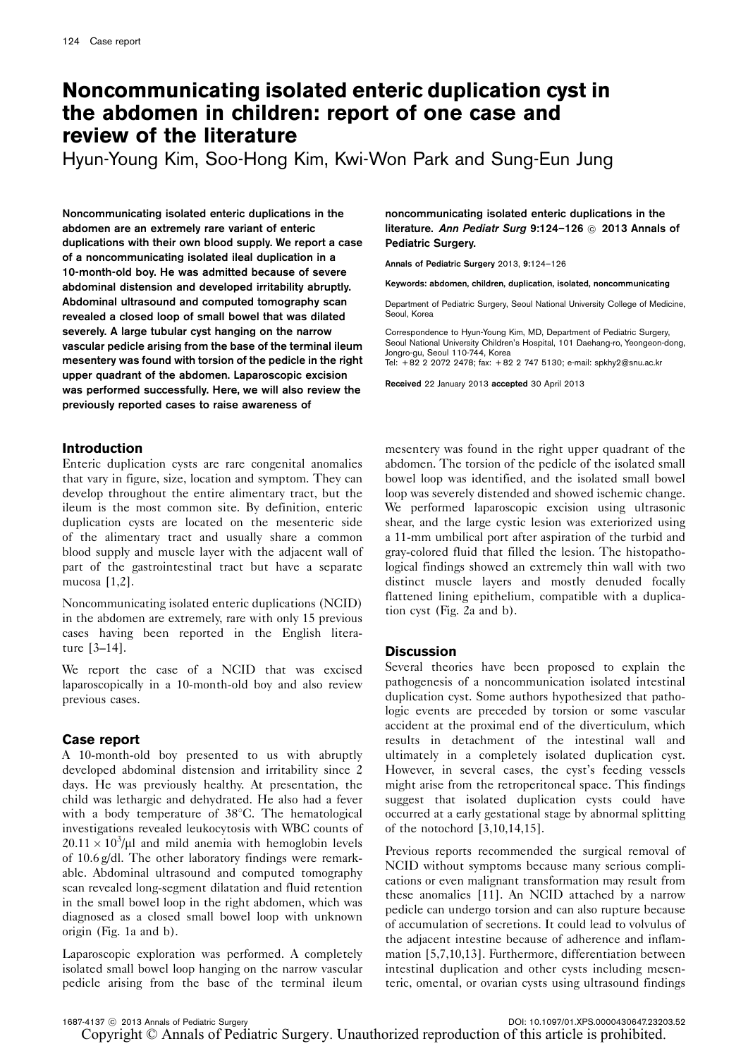# Noncommunicating isolated enteric duplication cyst in the abdomen in children: report of one case and review of the literature

Hyun-Young Kim, Soo-Hong Kim, Kwi-Won Park and Sung-Eun Jung

Noncommunicating isolated enteric duplications in the abdomen are an extremely rare variant of enteric duplications with their own blood supply. We report a case of a noncommunicating isolated ileal duplication in a 10-month-old boy. He was admitted because of severe abdominal distension and developed irritability abruptly. Abdominal ultrasound and computed tomography scan revealed a closed loop of small bowel that was dilated severely. A large tubular cyst hanging on the narrow vascular pedicle arising from the base of the terminal ileum mesentery was found with torsion of the pedicle in the right upper quadrant of the abdomen. Laparoscopic excision was performed successfully. Here, we will also review the previously reported cases to raise awareness of

### Introduction

Enteric duplication cysts are rare congenital anomalies that vary in figure, size, location and symptom. They can develop throughout the entire alimentary tract, but the ileum is the most common site. By definition, enteric duplication cysts are located on the mesenteric side of the alimentary tract and usually share a common blood supply and muscle layer with the adjacent wall of part of the gastrointestinal tract but have a separate mucosa [\[1,2](#page-2-0)].

Noncommunicating isolated enteric duplications (NCID) in the abdomen are extremely, rare with only 15 previous cases having been reported in the English literature [\[3–14](#page-2-0)].

We report the case of a NCID that was excised laparoscopically in a 10-month-old boy and also review previous cases.

#### Case report

A 10-month-old boy presented to us with abruptly developed abdominal distension and irritability since 2 days. He was previously healthy. At presentation, the child was lethargic and dehydrated. He also had a fever with a body temperature of  $38^{\circ}$ C. The hematological investigations revealed leukocytosis with WBC counts of  $20.11 \times 10^3/\mu$ l and mild anemia with hemoglobin levels of 10.6 g/dl. The other laboratory findings were remarkable. Abdominal ultrasound and computed tomography scan revealed long-segment dilatation and fluid retention in the small bowel loop in the right abdomen, which was diagnosed as a closed small bowel loop with unknown origin ([Fig. 1a and b](#page-1-0)).

Laparoscopic exploration was performed. A completely isolated small bowel loop hanging on the narrow vascular pedicle arising from the base of the terminal ileum noncommunicating isolated enteric duplications in the literature. Ann Pediatr Surg 9:124-126 @ 2013 Annals of Pediatric Surgery.

Annals of Pediatric Surgery 2013, 9:124–126

Keywords: abdomen, children, duplication, isolated, noncommunicating

Department of Pediatric Surgery, Seoul National University College of Medicine, Seoul, Korea

Correspondence to Hyun-Young Kim, MD, Department of Pediatric Surgery, Seoul National University Children's Hospital, 101 Daehang-ro, Yeongeon-dong, Jongro-gu, Seoul 110-744, Korea Tel: + 82 2 2072 2478; fax: + 82 2 747 5130; e-mail: [spkhy2@snu.ac.kr](mailto:spkhy2@snu.ac.kr)

Received 22 January 2013 accepted 30 April 2013

mesentery was found in the right upper quadrant of the abdomen. The torsion of the pedicle of the isolated small bowel loop was identified, and the isolated small bowel loop was severely distended and showed ischemic change. We performed laparoscopic excision using ultrasonic shear, and the large cystic lesion was exteriorized using a 11-mm umbilical port after aspiration of the turbid and gray-colored fluid that filled the lesion. The histopathological findings showed an extremely thin wall with two distinct muscle layers and mostly denuded focally flattened lining epithelium, compatible with a duplication cyst [\(Fig. 2a and b](#page-1-0)).

#### **Discussion**

Several theories have been proposed to explain the pathogenesis of a noncommunication isolated intestinal duplication cyst. Some authors hypothesized that pathologic events are preceded by torsion or some vascular accident at the proximal end of the diverticulum, which results in detachment of the intestinal wall and ultimately in a completely isolated duplication cyst. However, in several cases, the cyst's feeding vessels might arise from the retroperitoneal space. This findings suggest that isolated duplication cysts could have occurred at a early gestational stage by abnormal splitting of the notochord [\[3,10,14,15\]](#page-2-0).

Previous reports recommended the surgical removal of NCID without symptoms because many serious complications or even malignant transformation may result from these anomalies [\[11\]](#page-2-0). An NCID attached by a narrow pedicle can undergo torsion and can also rupture because of accumulation of secretions. It could lead to volvulus of the adjacent intestine because of adherence and inflammation [\[5,7,10,13\]](#page-2-0). Furthermore, differentiation between intestinal duplication and other cysts including mesenteric, omental, or ovarian cysts using ultrasound findings

DOI: 10.1097/01.XPS.0000430647.23203.52

Copyright © Annals of Pediatric Surgery. Unauthorized reproduction of this article is prohibited.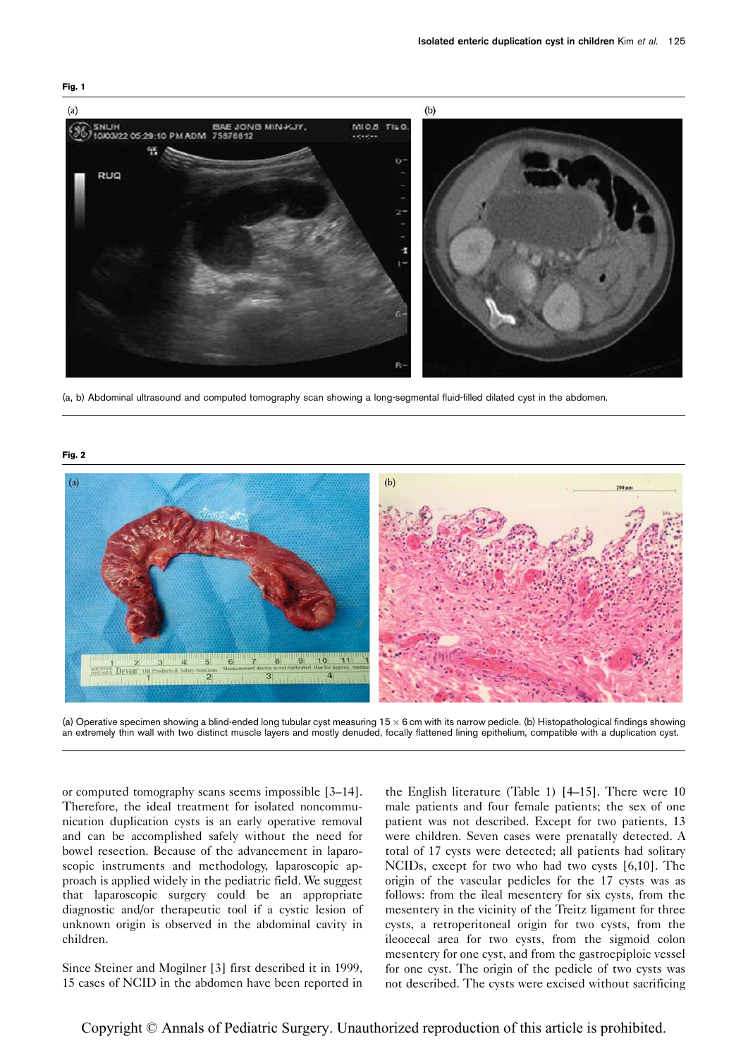

(a, b) Abdominal ultrasound and computed tomography scan showing a long-segmental fluid-filled dilated cyst in the abdomen.

Fig. 2



(a) Operative specimen showing a blind-ended long tubular cyst measuring  $15 \times 6$  cm with its narrow pedicle. (b) Histopathological findings showing an extremely thin wall with two distinct muscle layers and mostly denuded, focally flattened lining epithelium, compatible with a duplication cyst.

or computed tomography scans seems impossible [\[3–14](#page-2-0)]. Therefore, the ideal treatment for isolated noncommunication duplication cysts is an early operative removal and can be accomplished safely without the need for bowel resection. Because of the advancement in laparoscopic instruments and methodology, laparoscopic approach is applied widely in the pediatric field. We suggest that laparoscopic surgery could be an appropriate diagnostic and/or therapeutic tool if a cystic lesion of unknown origin is observed in the abdominal cavity in children.

Since Steiner and Mogilner [\[3](#page-2-0)] first described it in 1999, 15 cases of NCID in the abdomen have been reported in

the English literature ([Table 1](#page-2-0)) [\[4–15](#page-2-0)]. There were 10 male patients and four female patients; the sex of one patient was not described. Except for two patients, 13 were children. Seven cases were prenatally detected. A total of 17 cysts were detected; all patients had solitary NCIDs, except for two who had two cysts [\[6,10](#page-2-0)]. The origin of the vascular pedicles for the 17 cysts was as follows: from the ileal mesentery for six cysts, from the mesentery in the vicinity of the Treitz ligament for three cysts, a retroperitoneal origin for two cysts, from the ileocecal area for two cysts, from the sigmoid colon mesentery for one cyst, and from the gastroepiploic vessel for one cyst. The origin of the pedicle of two cysts was not described. The cysts were excised without sacrificing

<span id="page-1-0"></span>Fig. 1